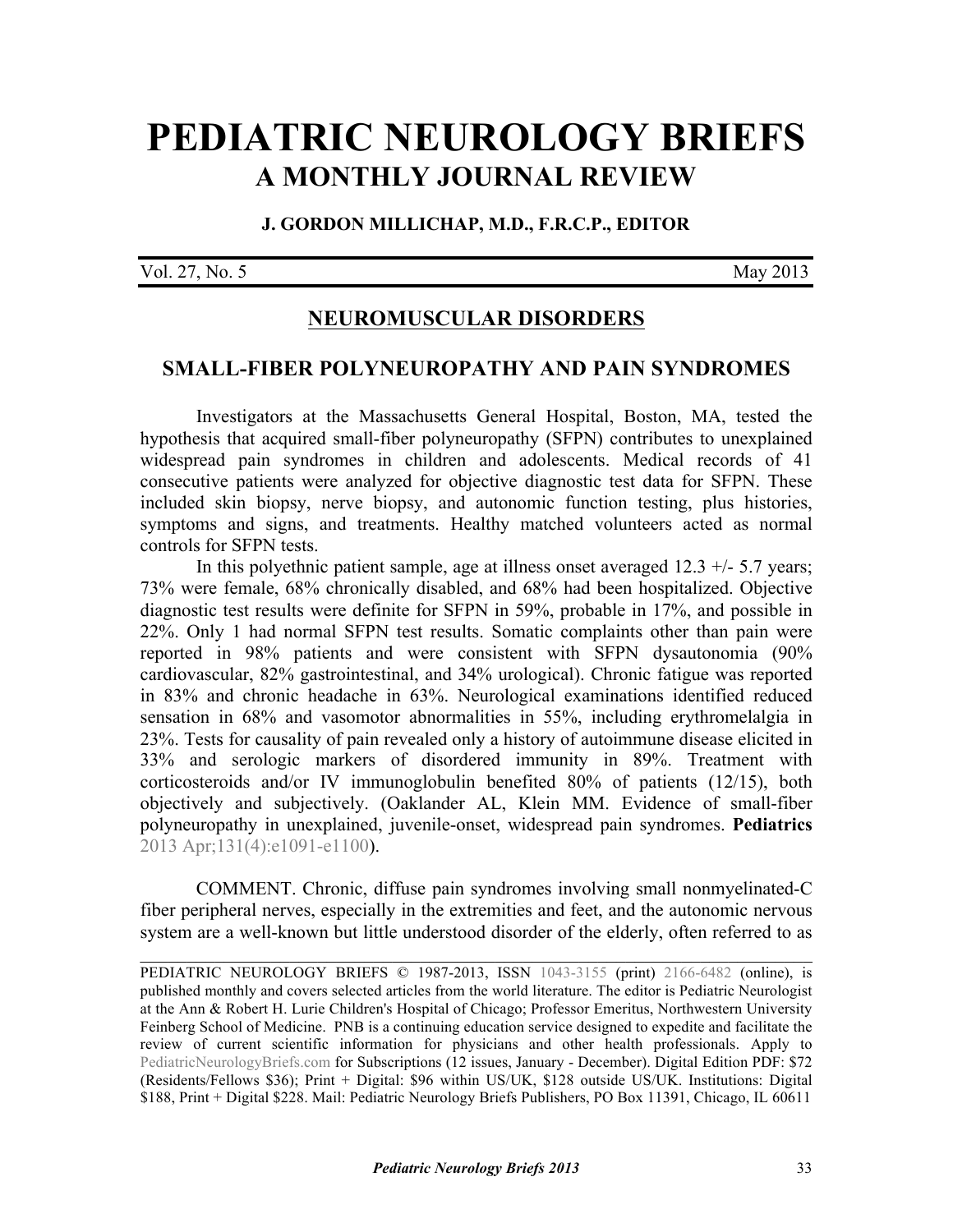# **[PEDIATRIC NEUROLOGY BRIEFS](http://www.pediatricneurologybriefs.com/) A MONTHLY JOURNAL REVIEW**

#### **J. GORDON MILLICHAP, M.D., F.R.C.P., EDITOR**

Vol. 27, No. 5 May 2013

### **NEUROMUSCULAR DISORDERS**

#### **SMALL-FIBER POLYNEUROPATHY AND PAIN SYNDROMES**

 Investigators at the Massachusetts General Hospital, Boston, MA, tested the hypothesis that acquired small-fiber polyneuropathy (SFPN) contributes to unexplained widespread pain syndromes in children and adolescents. Medical records of 41 consecutive patients were analyzed for objective diagnostic test data for SFPN. These included skin biopsy, nerve biopsy, and autonomic function testing, plus histories, symptoms and signs, and treatments. Healthy matched volunteers acted as normal controls for SFPN tests.

In this polyethnic patient sample, age at illness onset averaged  $12.3 +/-5.7$  years; 73% were female, 68% chronically disabled, and 68% had been hospitalized. Objective diagnostic test results were definite for SFPN in 59%, probable in 17%, and possible in 22%. Only 1 had normal SFPN test results. Somatic complaints other than pain were reported in 98% patients and were consistent with SFPN dysautonomia (90% cardiovascular, 82% gastrointestinal, and 34% urological). Chronic fatigue was reported in 83% and chronic headache in 63%. Neurological examinations identified reduced sensation in 68% and vasomotor abnormalities in 55%, including erythromelalgia in 23%. Tests for causality of pain revealed only a history of autoimmune disease elicited in 33% and serologic markers of disordered immunity in 89%. Treatment with corticosteroids and/or IV immunoglobulin benefited 80% of patients (12/15), both [objectively and subjectively. \(Oaklander AL, Klein MM. Evidence of small-fiber](http://dx.doi.org/10.1542/peds.2012-2597) polyneuropathy in unexplained, juvenile-onset, widespread pain syndromes. **Pediatrics**  2013 Apr;131(4):e1091-e1100).

 COMMENT. Chronic, diffuse pain syndromes involving small nonmyelinated-C fiber peripheral nerves, especially in the extremities and feet, and the autonomic nervous system are a well-known but little understood disorder of the elderly, often referred to as

 $\mathcal{L}_\text{G}$  , and the contribution of the contribution of the contribution of the contribution of the contribution of the contribution of the contribution of the contribution of the contribution of the contribution of t

PEDIATRIC NEUROLOGY BRIEFS © 1987-2013, ISSN [1043-3155](http://www.worldcat.org/oclc/19417722) (print) [2166-6482](http://www.worldcat.org/oclc/781441925) (online), is published monthly and covers selected articles from the world literature. The editor is Pediatric Neurologist at the Ann & Robert H. Lurie Children's Hospital of Chicago; Professor Emeritus, Northwestern University Feinberg School of Medicine. PNB is a continuing education service designed to expedite and facilitate the review of current scientific information for physicians and other health professionals. Apply to [PediatricNeurologyBriefs.com](http://www.pediatricneurologybriefs.com/subscribe.html) for Subscriptions (12 issues, January - December). Digital Edition PDF: \$72 (Residents/Fellows \$36); Print + Digital: \$96 within US/UK, \$128 outside US/UK. Institutions: Digital \$188, Print + Digital \$228. Mail: Pediatric Neurology Briefs Publishers, PO Box 11391, Chicago, IL 60611